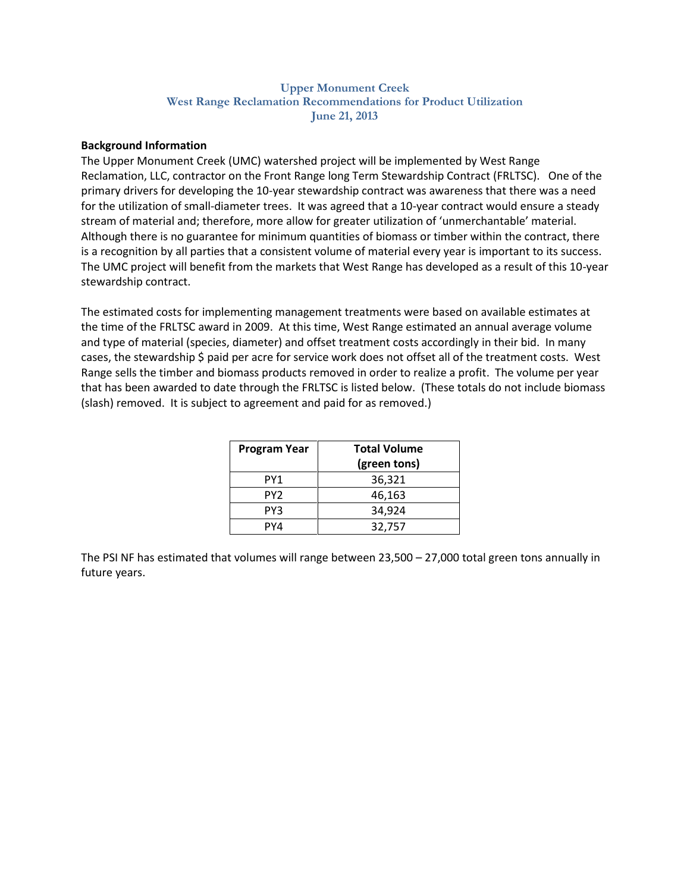### **Upper Monument Creek West Range Reclamation Recommendations for Product Utilization June 21, 2013**

### **Background Information**

The Upper Monument Creek (UMC) watershed project will be implemented by West Range Reclamation, LLC, contractor on the Front Range long Term Stewardship Contract (FRLTSC). One of the primary drivers for developing the 10-year stewardship contract was awareness that there was a need for the utilization of small-diameter trees. It was agreed that a 10-year contract would ensure a steady stream of material and; therefore, more allow for greater utilization of 'unmerchantable' material. Although there is no guarantee for minimum quantities of biomass or timber within the contract, there is a recognition by all parties that a consistent volume of material every year is important to its success. The UMC project will benefit from the markets that West Range has developed as a result of this 10-year stewardship contract.

The estimated costs for implementing management treatments were based on available estimates at the time of the FRLTSC award in 2009. At this time, West Range estimated an annual average volume and type of material (species, diameter) and offset treatment costs accordingly in their bid. In many cases, the stewardship \$ paid per acre for service work does not offset all of the treatment costs. West Range sells the timber and biomass products removed in order to realize a profit. The volume per year that has been awarded to date through the FRLTSC is listed below. (These totals do not include biomass (slash) removed. It is subject to agreement and paid for as removed.)

| <b>Program Year</b> | <b>Total Volume</b><br>(green tons) |
|---------------------|-------------------------------------|
| PY1                 | 36,321                              |
| PY <sub>2</sub>     | 46,163                              |
| PY3                 | 34,924                              |
| PY4                 | 32,757                              |

The PSI NF has estimated that volumes will range between 23,500 – 27,000 total green tons annually in future years.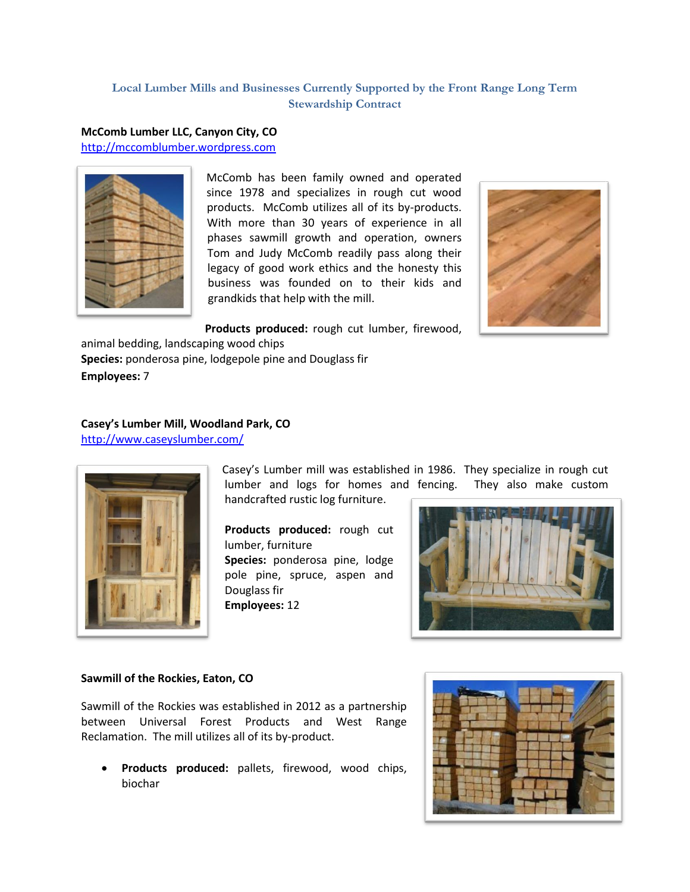## **Local Lumber Mills and Businesses Currently Supported by the Front Range Long Term Stewardship Contract**

## **McComb Lumber LLC, Canyon City, CO**

[http://mccomblumber.wordpress.com](http://mccomblumber.wordpress.com/category/products/)



McComb has been family owned and operated since 1978 and specializes in rough cut wood products. McComb utilizes all of its by-products. With more than 30 years of experience in all phases sawmill growth and operation, owners Tom and Judy McComb readily pass along their legacy of good work ethics and the honesty this business was founded on to their kids and grandkids that help with the mill.



**Products produced:** rough cut lumber, firewood,

animal bedding, landscaping wood chips **Species:** ponderosa pine, lodgepole pine and Douglass fir **Employees:** 7

### **Casey's Lumber Mill, Woodland Park, CO**  <http://www.caseyslumber.com/>



Casey's Lumber mill was established in 1986. They specialize in rough cut lumber and logs for homes and fencing. They also make custom handcrafted rustic log furniture.

**Products produced:** rough cut lumber, furniture **Species:** ponderosa pine, lodge pole pine, spruce, aspen and Douglass fir **Employees:** 12



### **Sawmill of the Rockies, Eaton, CO**

Sawmill of the Rockies was established in 2012 as a partnership between Universal Forest Products and West Range Reclamation. The mill utilizes all of its by-product.

 **Products produced:** pallets, firewood, wood chips, biochar

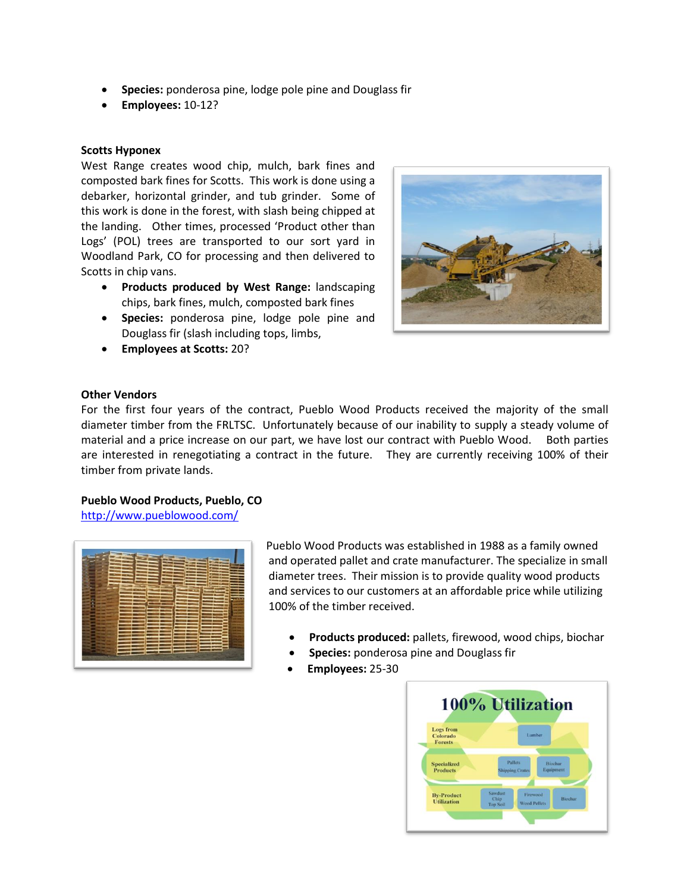- **Species:** ponderosa pine, lodge pole pine and Douglass fir
- **Employees:** 10-12?

### **Scotts Hyponex**

West Range creates wood chip, mulch, bark fines and composted bark fines for Scotts. This work is done using a debarker, horizontal grinder, and tub grinder. Some of this work is done in the forest, with slash being chipped at the landing. Other times, processed 'Product other than Logs' (POL) trees are transported to our sort yard in Woodland Park, CO for processing and then delivered to Scotts in chip vans.

- **Products produced by West Range:** landscaping chips, bark fines, mulch, composted bark fines
- **Species:** ponderosa pine, lodge pole pine and Douglass fir (slash including tops, limbs,
- **Employees at Scotts:** 20?



#### **Other Vendors**

For the first four years of the contract, Pueblo Wood Products received the majority of the small diameter timber from the FRLTSC. Unfortunately because of our inability to supply a steady volume of material and a price increase on our part, we have lost our contract with Pueblo Wood. Both parties are interested in renegotiating a contract in the future. They are currently receiving 100% of their timber from private lands.

### **Pueblo Wood Products, Pueblo, CO**

<http://www.pueblowood.com/>



Pueblo Wood Products was established in 1988 as a family owned and operated pallet and crate manufacturer. The specialize in small diameter trees. Their mission is to provide quality wood products and services to our customers at an affordable price while utilizing 100% of the timber received.

- **Products produced:** pallets, firewood, wood chips, biochar
- **Species:** ponderosa pine and Douglass fir
- **Employees:** 25-30

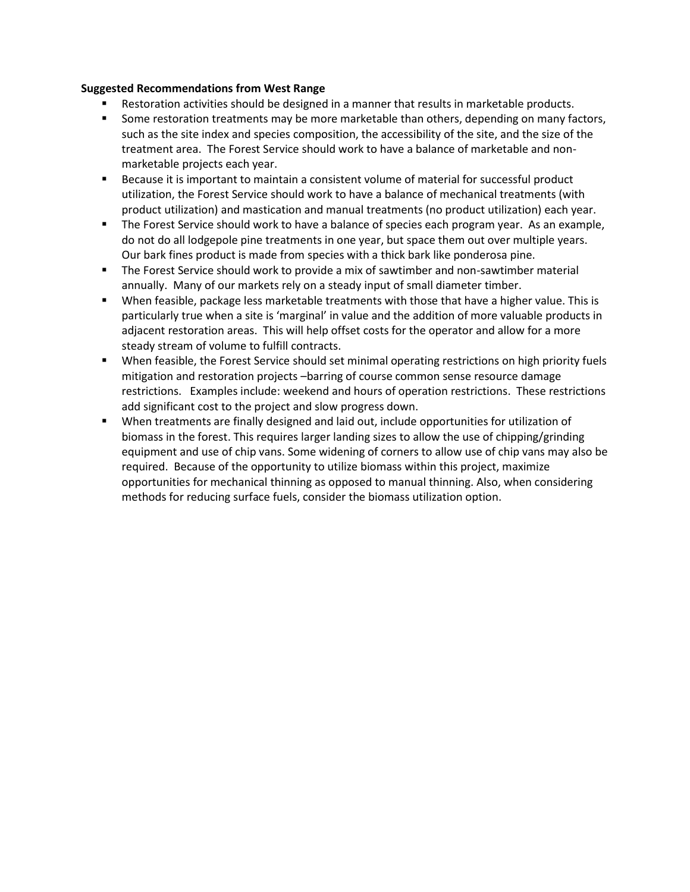### **Suggested Recommendations from West Range**

- Restoration activities should be designed in a manner that results in marketable products.
- **Some restoration treatments may be more marketable than others, depending on many factors,** such as the site index and species composition, the accessibility of the site, and the size of the treatment area. The Forest Service should work to have a balance of marketable and nonmarketable projects each year.
- Because it is important to maintain a consistent volume of material for successful product utilization, the Forest Service should work to have a balance of mechanical treatments (with product utilization) and mastication and manual treatments (no product utilization) each year.
- The Forest Service should work to have a balance of species each program year. As an example, do not do all lodgepole pine treatments in one year, but space them out over multiple years. Our bark fines product is made from species with a thick bark like ponderosa pine.
- The Forest Service should work to provide a mix of sawtimber and non-sawtimber material annually. Many of our markets rely on a steady input of small diameter timber.
- When feasible, package less marketable treatments with those that have a higher value. This is particularly true when a site is 'marginal' in value and the addition of more valuable products in adjacent restoration areas. This will help offset costs for the operator and allow for a more steady stream of volume to fulfill contracts.
- When feasible, the Forest Service should set minimal operating restrictions on high priority fuels mitigation and restoration projects –barring of course common sense resource damage restrictions. Examples include: weekend and hours of operation restrictions. These restrictions add significant cost to the project and slow progress down.
- When treatments are finally designed and laid out, include opportunities for utilization of biomass in the forest. This requires larger landing sizes to allow the use of chipping/grinding equipment and use of chip vans. Some widening of corners to allow use of chip vans may also be required. Because of the opportunity to utilize biomass within this project, maximize opportunities for mechanical thinning as opposed to manual thinning. Also, when considering methods for reducing surface fuels, consider the biomass utilization option.